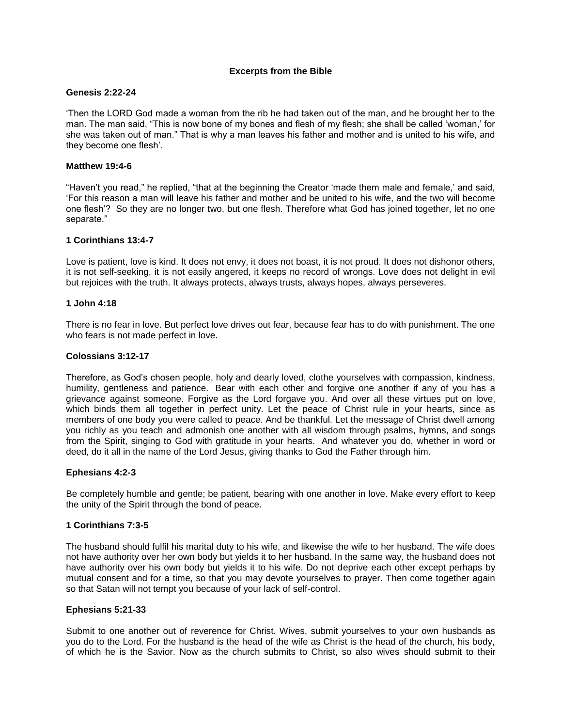# **Excerpts from the Bible**

### **Genesis 2:22-24**

'Then the LORD God made a woman from the rib he had taken out of the man, and he brought her to the man. The man said, "This is now bone of my bones and flesh of my flesh; she shall be called 'woman,' for she was taken out of man." That is why a man leaves his father and mother and is united to his wife, and they become one flesh'.

# **Matthew 19:4-6**

"Haven't you read," he replied, "that at the beginning the Creator 'made them male and female,' and said, 'For this reason a man will leave his father and mother and be united to his wife, and the two will become one flesh'? So they are no longer two, but one flesh. Therefore what God has joined together, let no one separate."

### **1 Corinthians 13:4-7**

Love is patient, love is kind. It does not envy, it does not boast, it is not proud. It does not dishonor others, it is not self-seeking, it is not easily angered, it keeps no record of wrongs. Love does not delight in evil but rejoices with the truth. It always protects, always trusts, always hopes, always perseveres.

### **1 John 4:18**

There is no fear in love. But perfect love drives out fear, because fear has to do with punishment. The one who fears is not made perfect in love.

### **Colossians 3:12-17**

Therefore, as God's chosen people, holy and dearly loved, clothe yourselves with compassion, kindness, humility, gentleness and patience. Bear with each other and forgive one another if any of you has a grievance against someone. Forgive as the Lord forgave you. And over all these virtues put on love, which binds them all together in perfect unity. Let the peace of Christ rule in your hearts, since as members of one body you were called to peace. And be thankful. Let the message of Christ dwell among you richly as you teach and admonish one another with all wisdom through psalms, hymns, and songs from the Spirit, singing to God with gratitude in your hearts. And whatever you do, whether in word or deed, do it all in the name of the Lord Jesus, giving thanks to God the Father through him.

#### **Ephesians 4:2-3**

Be completely humble and gentle; be patient, bearing with one another in love. Make every effort to keep the unity of the Spirit through the bond of peace.

# **1 Corinthians 7:3-5**

The husband should fulfil his marital duty to his wife, and likewise the wife to her husband. The wife does not have authority over her own body but yields it to her husband. In the same way, the husband does not have authority over his own body but yields it to his wife. Do not deprive each other except perhaps by mutual consent and for a time, so that you may devote yourselves to prayer. Then come together again so that Satan will not tempt you because of your lack of self-control.

#### **Ephesians 5:21-33**

Submit to one another out of reverence for Christ. Wives, submit yourselves to your own husbands as you do to the Lord. For the husband is the head of the wife as Christ is the head of the church, his body, of which he is the Savior. Now as the church submits to Christ, so also wives should submit to their